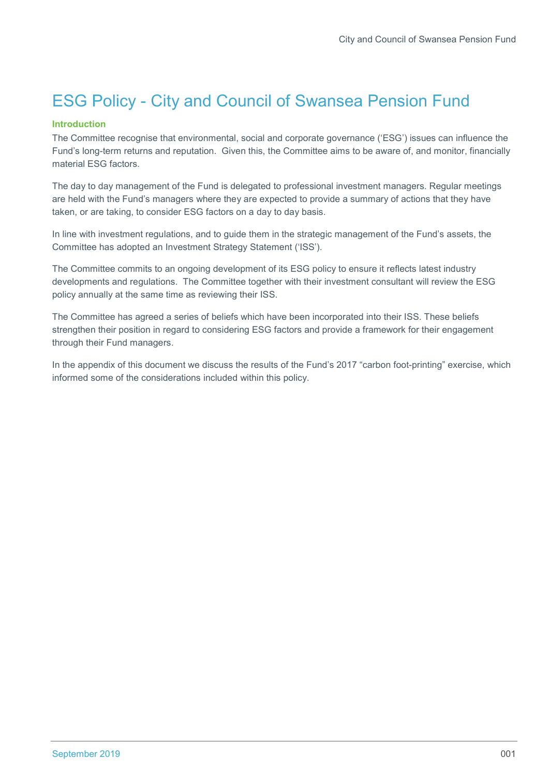# ESG Policy - City and Council of Swansea Pension Fund

## Introduction

The Committee recognise that environmental, social and corporate governance ('ESG') issues can influence the Fund's long-term returns and reputation. Given this, the Committee aims to be aware of, and monitor, financially material ESG factors.

The day to day management of the Fund is delegated to professional investment managers. Regular meetings are held with the Fund's managers where they are expected to provide a summary of actions that they have taken, or are taking, to consider ESG factors on a day to day basis.

In line with investment regulations, and to guide them in the strategic management of the Fund's assets, the Committee has adopted an Investment Strategy Statement ('ISS').

The Committee commits to an ongoing development of its ESG policy to ensure it reflects latest industry developments and regulations. The Committee together with their investment consultant will review the ESG policy annually at the same time as reviewing their ISS.

The Committee has agreed a series of beliefs which have been incorporated into their ISS. These beliefs strengthen their position in regard to considering ESG factors and provide a framework for their engagement through their Fund managers.

In the appendix of this document we discuss the results of the Fund's 2017 "carbon foot-printing" exercise, which informed some of the considerations included within this policy.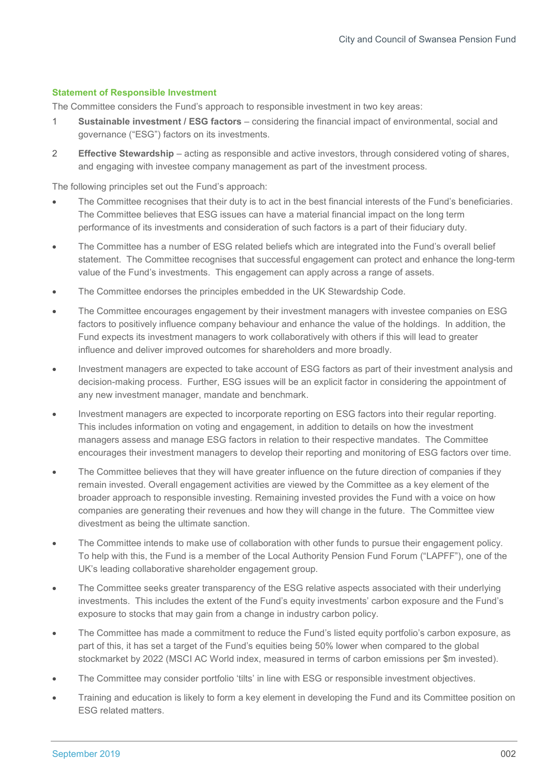## Statement of Responsible Investment

The Committee considers the Fund's approach to responsible investment in two key areas:

- 1 Sustainable investment / ESG factors considering the financial impact of environmental, social and governance ("ESG") factors on its investments.
- 2 Effective Stewardship acting as responsible and active investors, through considered voting of shares, and engaging with investee company management as part of the investment process.

The following principles set out the Fund's approach:

- The Committee recognises that their duty is to act in the best financial interests of the Fund's beneficiaries. The Committee believes that ESG issues can have a material financial impact on the long term performance of its investments and consideration of such factors is a part of their fiduciary duty.
- The Committee has a number of ESG related beliefs which are integrated into the Fund's overall belief statement. The Committee recognises that successful engagement can protect and enhance the long-term value of the Fund's investments. This engagement can apply across a range of assets.
- The Committee endorses the principles embedded in the UK Stewardship Code.
- The Committee encourages engagement by their investment managers with investee companies on ESG factors to positively influence company behaviour and enhance the value of the holdings. In addition, the Fund expects its investment managers to work collaboratively with others if this will lead to greater influence and deliver improved outcomes for shareholders and more broadly.
- Investment managers are expected to take account of ESG factors as part of their investment analysis and decision-making process. Further, ESG issues will be an explicit factor in considering the appointment of any new investment manager, mandate and benchmark.
- Investment managers are expected to incorporate reporting on ESG factors into their regular reporting. This includes information on voting and engagement, in addition to details on how the investment managers assess and manage ESG factors in relation to their respective mandates. The Committee encourages their investment managers to develop their reporting and monitoring of ESG factors over time.
- The Committee believes that they will have greater influence on the future direction of companies if they remain invested. Overall engagement activities are viewed by the Committee as a key element of the broader approach to responsible investing. Remaining invested provides the Fund with a voice on how companies are generating their revenues and how they will change in the future. The Committee view divestment as being the ultimate sanction.
- The Committee intends to make use of collaboration with other funds to pursue their engagement policy. To help with this, the Fund is a member of the Local Authority Pension Fund Forum ("LAPFF"), one of the UK's leading collaborative shareholder engagement group.
- The Committee seeks greater transparency of the ESG relative aspects associated with their underlying investments. This includes the extent of the Fund's equity investments' carbon exposure and the Fund's exposure to stocks that may gain from a change in industry carbon policy.
- The Committee has made a commitment to reduce the Fund's listed equity portfolio's carbon exposure, as part of this, it has set a target of the Fund's equities being 50% lower when compared to the global stockmarket by 2022 (MSCI AC World index, measured in terms of carbon emissions per \$m invested).
- The Committee may consider portfolio 'tilts' in line with ESG or responsible investment objectives.
- Training and education is likely to form a key element in developing the Fund and its Committee position on ESG related matters.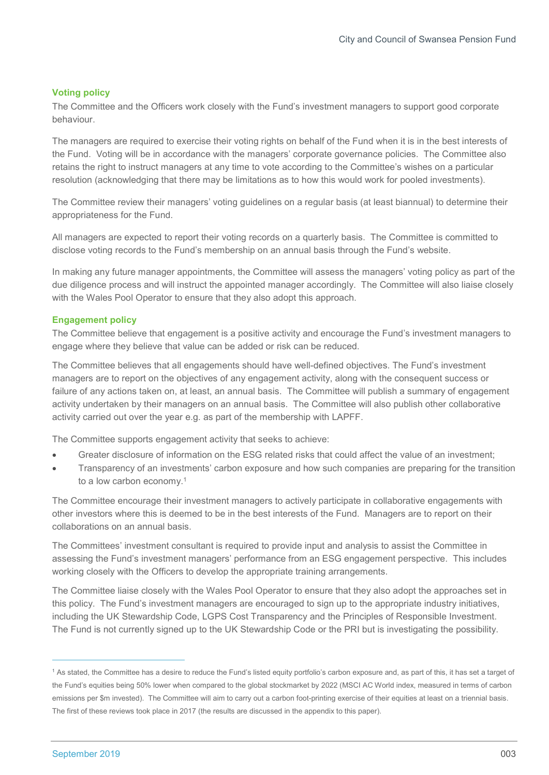## Voting policy

The Committee and the Officers work closely with the Fund's investment managers to support good corporate behaviour.

The managers are required to exercise their voting rights on behalf of the Fund when it is in the best interests of the Fund. Voting will be in accordance with the managers' corporate governance policies. The Committee also retains the right to instruct managers at any time to vote according to the Committee's wishes on a particular resolution (acknowledging that there may be limitations as to how this would work for pooled investments).

The Committee review their managers' voting guidelines on a regular basis (at least biannual) to determine their appropriateness for the Fund.

All managers are expected to report their voting records on a quarterly basis. The Committee is committed to disclose voting records to the Fund's membership on an annual basis through the Fund's website.

In making any future manager appointments, the Committee will assess the managers' voting policy as part of the due diligence process and will instruct the appointed manager accordingly. The Committee will also liaise closely with the Wales Pool Operator to ensure that they also adopt this approach.

## Engagement policy

The Committee believe that engagement is a positive activity and encourage the Fund's investment managers to engage where they believe that value can be added or risk can be reduced.

The Committee believes that all engagements should have well-defined objectives. The Fund's investment managers are to report on the objectives of any engagement activity, along with the consequent success or failure of any actions taken on, at least, an annual basis. The Committee will publish a summary of engagement activity undertaken by their managers on an annual basis. The Committee will also publish other collaborative activity carried out over the year e.g. as part of the membership with LAPFF.

The Committee supports engagement activity that seeks to achieve:

- Greater disclosure of information on the ESG related risks that could affect the value of an investment;
- Transparency of an investments' carbon exposure and how such companies are preparing for the transition to a low carbon economy.<sup>1</sup>

The Committee encourage their investment managers to actively participate in collaborative engagements with other investors where this is deemed to be in the best interests of the Fund. Managers are to report on their collaborations on an annual basis.

The Committees' investment consultant is required to provide input and analysis to assist the Committee in assessing the Fund's investment managers' performance from an ESG engagement perspective. This includes working closely with the Officers to develop the appropriate training arrangements.

The Committee liaise closely with the Wales Pool Operator to ensure that they also adopt the approaches set in this policy. The Fund's investment managers are encouraged to sign up to the appropriate industry initiatives, including the UK Stewardship Code, LGPS Cost Transparency and the Principles of Responsible Investment. The Fund is not currently signed up to the UK Stewardship Code or the PRI but is investigating the possibility.

 $\overline{a}$ 

<sup>&</sup>lt;sup>1</sup> As stated, the Committee has a desire to reduce the Fund's listed equity portfolio's carbon exposure and, as part of this, it has set a target of the Fund's equities being 50% lower when compared to the global stockmarket by 2022 (MSCI AC World index, measured in terms of carbon emissions per \$m invested). The Committee will aim to carry out a carbon foot-printing exercise of their equities at least on a triennial basis. The first of these reviews took place in 2017 (the results are discussed in the appendix to this paper).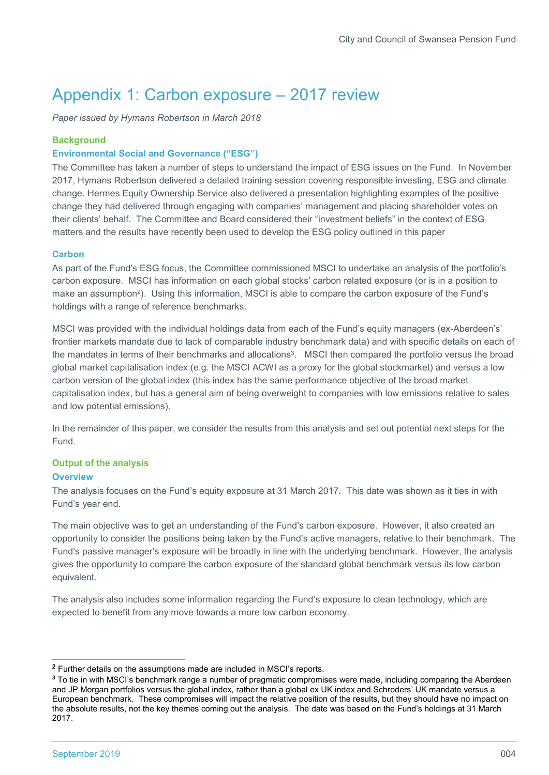## Appendix 1: Carbon exposure – 2017 review

Paper issued by Hymans Robertson in March 2018

## **Background**

## Environmental Social and Governance ("ESG")

The Committee has taken a number of steps to understand the impact of ESG issues on the Fund. In November 2017, Hymans Robertson delivered a detailed training session covering responsible investing, ESG and climate change. Hermes Equity Ownership Service also delivered a presentation highlighting examples of the positive change they had delivered through engaging with companies' management and placing shareholder votes on their clients' behalf. The Committee and Board considered their "investment beliefs" in the context of ESG matters and the results have recently been used to develop the ESG policy outlined in this paper

## **Carbon**

As part of the Fund's ESG focus, the Committee commissioned MSCI to undertake an analysis of the portfolio's carbon exposure. MSCI has information on each global stocks' carbon related exposure (or is in a position to make an assumption<sup>2</sup>). Using this information, MSCI is able to compare the carbon exposure of the Fund's holdings with a range of reference benchmarks.

MSCI was provided with the individual holdings data from each of the Fund's equity managers (ex-Aberdeen's' frontier markets mandate due to lack of comparable industry benchmark data) and with specific details on each of the mandates in terms of their benchmarks and allocations<sup>3</sup>. MSCI then compared the portfolio versus the broad global market capitalisation index (e.g. the MSCI ACWI as a proxy for the global stockmarket) and versus a low carbon version of the global index (this index has the same performance objective of the broad market capitalisation index, but has a general aim of being overweight to companies with low emissions relative to sales and low potential emissions).

In the remainder of this paper, we consider the results from this analysis and set out potential next steps for the Fund.

## Output of the analysis

## **Overview**

The analysis focuses on the Fund's equity exposure at 31 March 2017. This date was shown as it ties in with Fund's year end.

The main objective was to get an understanding of the Fund's carbon exposure. However, it also created an opportunity to consider the positions being taken by the Fund's active managers, relative to their benchmark. The Fund's passive manager's exposure will be broadly in line with the underlying benchmark. However, the analysis gives the opportunity to compare the carbon exposure of the standard global benchmark versus its low carbon equivalent.

The analysis also includes some information regarding the Fund's exposure to clean technology, which are expected to benefit from any move towards a more low carbon economy.

 $\overline{a}$ 

<sup>2</sup> Further details on the assumptions made are included in MSCI's reports.

<sup>&</sup>lt;sup>3</sup> To tie in with MSCI's benchmark range a number of pragmatic compromises were made, including comparing the Aberdeen and JP Morgan portfolios versus the global index, rather than a global ex UK index and Schroders' UK mandate versus a European benchmark. These compromises will impact the relative position of the results, but they should have no impact on the absolute results, not the key themes coming out the analysis. The date was based on the Fund's holdings at 31 March 2017.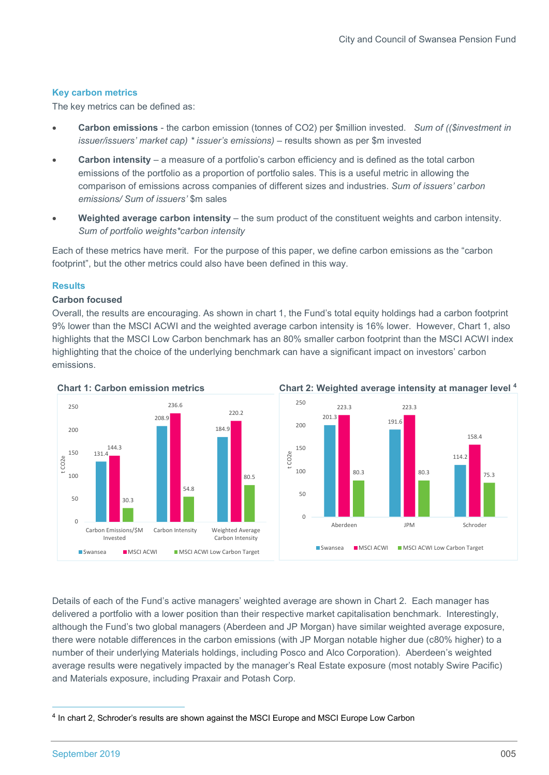## Key carbon metrics

The key metrics can be defined as:

- Carbon emissions the carbon emission (tonnes of CO2) per \$million invested. Sum of ((\$investment in issuer/issuers' market cap) \* issuer's emissions) – results shown as per \$m invested
- Carbon intensity a measure of a portfolio's carbon efficiency and is defined as the total carbon emissions of the portfolio as a proportion of portfolio sales. This is a useful metric in allowing the comparison of emissions across companies of different sizes and industries. Sum of issuers' carbon emissions/ Sum of issuers' \$m sales
- Weighted average carbon intensity the sum product of the constituent weights and carbon intensity. Sum of portfolio weights\*carbon intensity

Each of these metrics have merit. For the purpose of this paper, we define carbon emissions as the "carbon footprint", but the other metrics could also have been defined in this way.

## **Results**

## Carbon focused

Overall, the results are encouraging. As shown in chart 1, the Fund's total equity holdings had a carbon footprint 9% lower than the MSCI ACWI and the weighted average carbon intensity is 16% lower. However, Chart 1, also highlights that the MSCI Low Carbon benchmark has an 80% smaller carbon footprint than the MSCI ACWI index highlighting that the choice of the underlying benchmark can have a significant impact on investors' carbon emissions.





Details of each of the Fund's active managers' weighted average are shown in Chart 2. Each manager has delivered a portfolio with a lower position than their respective market capitalisation benchmark. Interestingly, although the Fund's two global managers (Aberdeen and JP Morgan) have similar weighted average exposure, there were notable differences in the carbon emissions (with JP Morgan notable higher due (c80% higher) to a number of their underlying Materials holdings, including Posco and Alco Corporation). Aberdeen's weighted average results were negatively impacted by the manager's Real Estate exposure (most notably Swire Pacific) and Materials exposure, including Praxair and Potash Corp.

 $\overline{a}$ 

<sup>4</sup> In chart 2, Schroder's results are shown against the MSCI Europe and MSCI Europe Low Carbon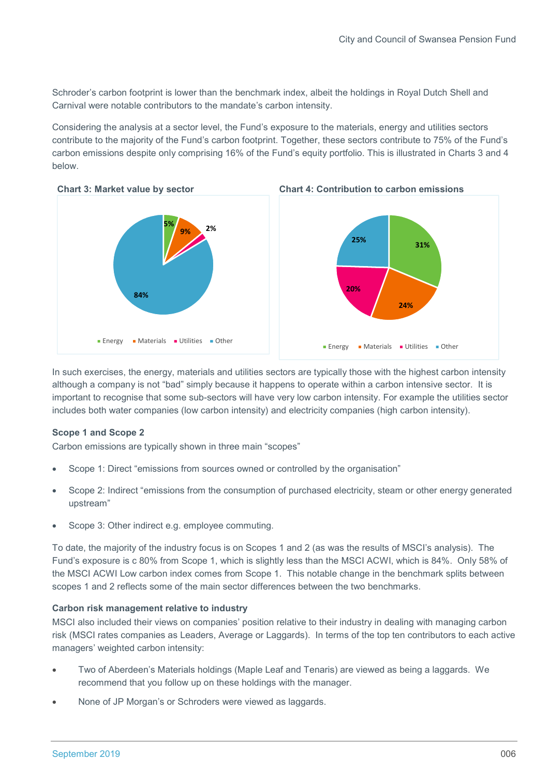Schroder's carbon footprint is lower than the benchmark index, albeit the holdings in Royal Dutch Shell and Carnival were notable contributors to the mandate's carbon intensity.

Considering the analysis at a sector level, the Fund's exposure to the materials, energy and utilities sectors contribute to the majority of the Fund's carbon footprint. Together, these sectors contribute to 75% of the Fund's carbon emissions despite only comprising 16% of the Fund's equity portfolio. This is illustrated in Charts 3 and 4 below.



In such exercises, the energy, materials and utilities sectors are typically those with the highest carbon intensity although a company is not "bad" simply because it happens to operate within a carbon intensive sector. It is important to recognise that some sub-sectors will have very low carbon intensity. For example the utilities sector includes both water companies (low carbon intensity) and electricity companies (high carbon intensity).

## Scope 1 and Scope 2

Carbon emissions are typically shown in three main "scopes"

- Scope 1: Direct "emissions from sources owned or controlled by the organisation"
- Scope 2: Indirect "emissions from the consumption of purchased electricity, steam or other energy generated upstream"
- Scope 3: Other indirect e.g. employee commuting.

To date, the majority of the industry focus is on Scopes 1 and 2 (as was the results of MSCI's analysis). The Fund's exposure is c 80% from Scope 1, which is slightly less than the MSCI ACWI, which is 84%. Only 58% of the MSCI ACWI Low carbon index comes from Scope 1. This notable change in the benchmark splits between scopes 1 and 2 reflects some of the main sector differences between the two benchmarks.

#### Carbon risk management relative to industry

MSCI also included their views on companies' position relative to their industry in dealing with managing carbon risk (MSCI rates companies as Leaders, Average or Laggards). In terms of the top ten contributors to each active managers' weighted carbon intensity:

- Two of Aberdeen's Materials holdings (Maple Leaf and Tenaris) are viewed as being a laggards. We recommend that you follow up on these holdings with the manager.
- None of JP Morgan's or Schroders were viewed as laggards.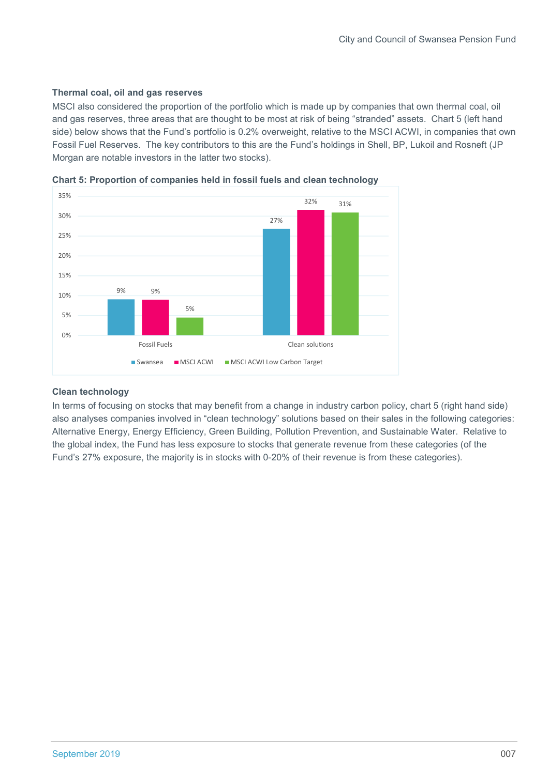## Thermal coal, oil and gas reserves

MSCI also considered the proportion of the portfolio which is made up by companies that own thermal coal, oil and gas reserves, three areas that are thought to be most at risk of being "stranded" assets. Chart 5 (left hand side) below shows that the Fund's portfolio is 0.2% overweight, relative to the MSCI ACWI, in companies that own Fossil Fuel Reserves. The key contributors to this are the Fund's holdings in Shell, BP, Lukoil and Rosneft (JP Morgan are notable investors in the latter two stocks).



Chart 5: Proportion of companies held in fossil fuels and clean technology

## Clean technology

In terms of focusing on stocks that may benefit from a change in industry carbon policy, chart 5 (right hand side) also analyses companies involved in "clean technology" solutions based on their sales in the following categories: Alternative Energy, Energy Efficiency, Green Building, Pollution Prevention, and Sustainable Water. Relative to the global index, the Fund has less exposure to stocks that generate revenue from these categories (of the Fund's 27% exposure, the majority is in stocks with 0-20% of their revenue is from these categories).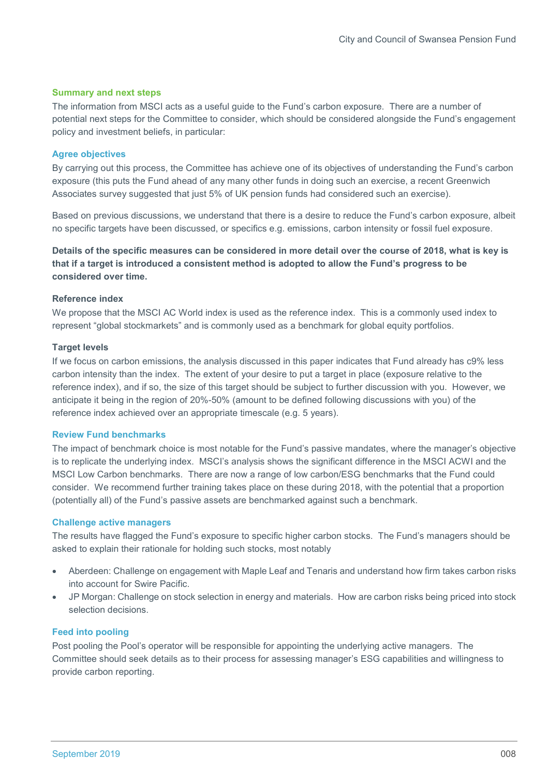#### Summary and next steps

The information from MSCI acts as a useful guide to the Fund's carbon exposure. There are a number of potential next steps for the Committee to consider, which should be considered alongside the Fund's engagement policy and investment beliefs, in particular:

### Agree objectives

By carrying out this process, the Committee has achieve one of its objectives of understanding the Fund's carbon exposure (this puts the Fund ahead of any many other funds in doing such an exercise, a recent Greenwich Associates survey suggested that just 5% of UK pension funds had considered such an exercise).

Based on previous discussions, we understand that there is a desire to reduce the Fund's carbon exposure, albeit no specific targets have been discussed, or specifics e.g. emissions, carbon intensity or fossil fuel exposure.

## Details of the specific measures can be considered in more detail over the course of 2018, what is key is that if a target is introduced a consistent method is adopted to allow the Fund's progress to be considered over time.

## Reference index

We propose that the MSCI AC World index is used as the reference index. This is a commonly used index to represent "global stockmarkets" and is commonly used as a benchmark for global equity portfolios.

#### Target levels

If we focus on carbon emissions, the analysis discussed in this paper indicates that Fund already has c9% less carbon intensity than the index. The extent of your desire to put a target in place (exposure relative to the reference index), and if so, the size of this target should be subject to further discussion with you. However, we anticipate it being in the region of 20%-50% (amount to be defined following discussions with you) of the reference index achieved over an appropriate timescale (e.g. 5 years).

#### Review Fund benchmarks

The impact of benchmark choice is most notable for the Fund's passive mandates, where the manager's objective is to replicate the underlying index. MSCI's analysis shows the significant difference in the MSCI ACWI and the MSCI Low Carbon benchmarks. There are now a range of low carbon/ESG benchmarks that the Fund could consider. We recommend further training takes place on these during 2018, with the potential that a proportion (potentially all) of the Fund's passive assets are benchmarked against such a benchmark.

#### Challenge active managers

The results have flagged the Fund's exposure to specific higher carbon stocks. The Fund's managers should be asked to explain their rationale for holding such stocks, most notably

- Aberdeen: Challenge on engagement with Maple Leaf and Tenaris and understand how firm takes carbon risks into account for Swire Pacific.
- JP Morgan: Challenge on stock selection in energy and materials. How are carbon risks being priced into stock selection decisions.

## Feed into pooling

Post pooling the Pool's operator will be responsible for appointing the underlying active managers. The Committee should seek details as to their process for assessing manager's ESG capabilities and willingness to provide carbon reporting.